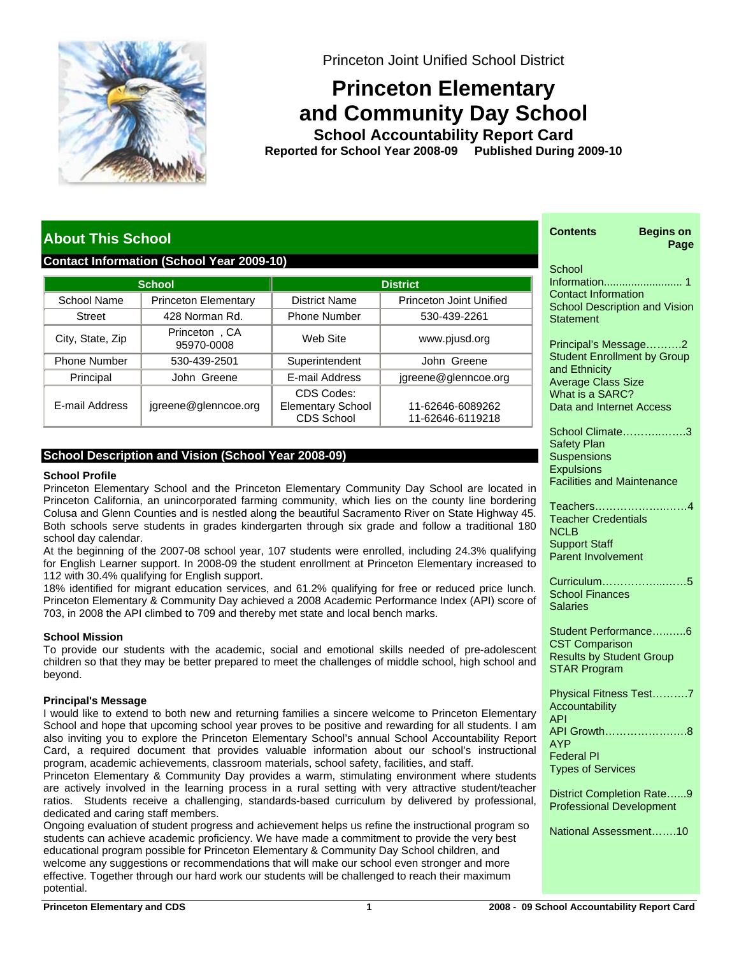

Princeton Joint Unified School District

# **Princeton Elementary and Community Day School**

**School Accountability Report Card School Year 2008-09 Published During 2009-10 Reported for**

# **About This School**

# **Contact Information (School Year 2009-10)**

|                     | <b>School</b>               | <b>District</b>                                      |                                      |  |  |  |
|---------------------|-----------------------------|------------------------------------------------------|--------------------------------------|--|--|--|
| School Name         | <b>Princeton Elementary</b> | <b>District Name</b>                                 | Princeton Joint Unified              |  |  |  |
| <b>Street</b>       | 428 Norman Rd.              | <b>Phone Number</b>                                  | 530-439-2261                         |  |  |  |
| City, State, Zip    | Princeton, CA<br>95970-0008 | Web Site                                             | www.pjusd.org                        |  |  |  |
| <b>Phone Number</b> | 530-439-2501                | Superintendent                                       | John Greene                          |  |  |  |
| Principal           | John Greene                 | E-mail Address                                       | jgreene@glenncoe.org                 |  |  |  |
| E-mail Address      | jgreene@glenncoe.org        | CDS Codes:<br><b>Elementary School</b><br>CDS School | 11-62646-6089262<br>11-62646-6119218 |  |  |  |

# **School Description and Vision (School Year 2008-09)**

### **School Profile**

Princeton Elementary School and the Princeton Elementary Community Day School are located in Princeton California, an unincorporated farming community, which lies on the county line bordering Colusa and Glenn Counties and is nestled along the beautiful Sacramento River on State Highway 45. Both schools serve students in grades kindergarten through six grade and follow a traditional 180 school day calendar.

At the beginning of the 2007-08 school year, 107 students were enrolled, including 24.3% qualifying for English Learner support. In 2008-09 the student enrollment at Princeton Elementary increased to 112 with 30.4% qualifying for English support.

18% identified for migrant education services, and 61.2% qualifying for free or reduced price lunch. Princeton Elementary & Community Day achieved a 2008 Academic Performance Index (API) score of 703, in 2008 the API climbed to 709 and thereby met state and local bench marks.

# **School Mission**

To provide our students with the academic, social and emotional skills needed of pre-adolescent children so that they may be better prepared to meet the challenges of middle school, high school and beyond.

# **Principal's Message**

I would like to extend to both new and returning families a sincere welcome to Princeton Elementary School and hope that upcoming school year proves to be positive and rewarding for all students. I am also inviting you to explore the Princeton Elementary School's annual School Accountability Report Card, a required document that provides valuable information about our school's instructional program, academic achievements, classroom materials, school safety, facilities, and staff.

Princeton Elementary & Community Day provides a warm, stimulating environment where students are actively involved in the learning process in a rural setting with very attractive student/teacher ratios. Students receive a challenging, standards-based curriculum by delivered by professional, dedicated and caring staff members.

Ongoing evaluation of student progress and achievement helps us refine the instructional program so students can achieve academic proficiency. We have made a commitment to provide the very best educational program possible for Princeton Elementary & Community Day School children, and welcome any suggestions or recommendations that will make our school even stronger and more effective. Together through our hard work our students will be challenged to reach their maximum potential.

| <b>Begins on</b><br>Contents<br>Page                                                                                                                           |
|----------------------------------------------------------------------------------------------------------------------------------------------------------------|
| School<br><b>Contact Information</b><br><b>School Description and Vision</b><br><b>Statement</b>                                                               |
| Principal's Message2<br><b>Student Enrollment by Group</b><br>and Ethnicity<br><b>Average Class Size</b><br>What is a SARC?<br><b>Data and Internet Access</b> |
| School Climate3<br><b>Safety Plan</b><br><b>Suspensions</b><br><b>Expulsions</b><br><b>Facilities and Maintenance</b>                                          |
| Teachers4<br><b>Teacher Credentials</b><br>NCLB<br><b>Support Staff</b><br><b>Parent Involvement</b>                                                           |
| Curriculum5<br><b>School Finances</b><br>Salaries                                                                                                              |
| Student Performance6<br><b>CST Comparison</b><br><b>Results by Student Group</b><br><b>STAR Program</b>                                                        |
| Physical Fitness Test7<br>Accountability<br>API<br>API Growth8<br><b>AYP</b><br><b>Federal PI</b><br><b>Types of Services</b>                                  |
| District Completion Rate9<br><b>Professional Development</b>                                                                                                   |
| National Assessment10                                                                                                                                          |
|                                                                                                                                                                |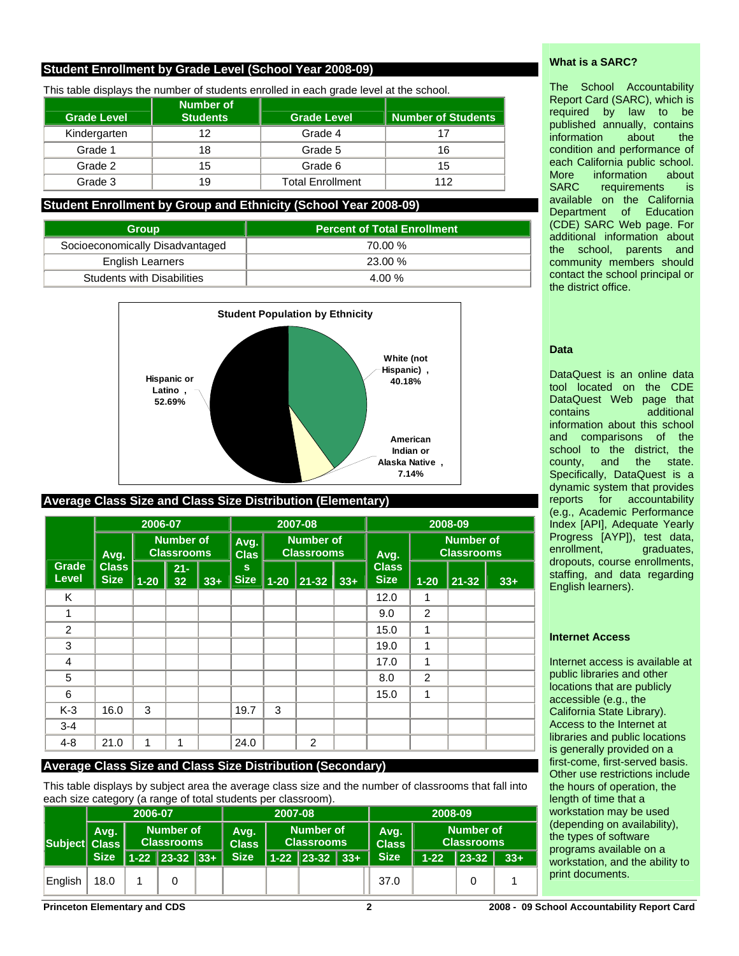# **Student Enrollment by Grade Level (School Year 2008-09)**

This table displays the number of students enrolled in each grade level at the school.

| <b>Grade Level</b> | Number of<br><b>Students</b> | <b>Grade Level</b>      | Number of Students |  |
|--------------------|------------------------------|-------------------------|--------------------|--|
| Kindergarten       | 12                           | Grade 4                 | 17                 |  |
| Grade 1            | 18                           | Grade 5                 | 16                 |  |
| Grade 2            | 15                           |                         | 15                 |  |
| Grade 3            | 19                           | <b>Total Enrollment</b> | 112                |  |

# **Student Enrollment by Group and Ethnicity (School Year 2008-09)**

| <b>Group</b>                      | <b>Percent of Total Enrollment</b> |
|-----------------------------------|------------------------------------|
| Socioeconomically Disadvantaged   | 70.00 %                            |
| <b>English Learners</b>           | 23.00 %                            |
| <b>Students with Disabilities</b> | 4.00 %                             |



# **Average Class Size and Class Size Distribution (Elementary)**

|                       |                             | 2006-07  |                                       |       |                             | 2007-08                               |       |       | 2008-09                               |          |           |       |
|-----------------------|-----------------------------|----------|---------------------------------------|-------|-----------------------------|---------------------------------------|-------|-------|---------------------------------------|----------|-----------|-------|
|                       | Avg.                        |          | <b>Number of</b><br><b>Classrooms</b> |       | Avg.<br><b>Clas</b>         | <b>Number of</b><br><b>Classrooms</b> |       | Avg.  | <b>Number of</b><br><b>Classrooms</b> |          |           |       |
| <b>Grade</b><br>Level | <b>Class</b><br><b>Size</b> | $1 - 20$ | $21 -$<br>32                          | $33+$ | $\mathbf{s}$<br><b>Size</b> | $1 - 20$                              | 21-32 | $33+$ | <b>Class</b><br><b>Size</b>           | $1 - 20$ | $21 - 32$ | $33+$ |
| Κ                     |                             |          |                                       |       |                             |                                       |       |       | 12.0                                  | 1        |           |       |
| 1                     |                             |          |                                       |       |                             |                                       |       |       | 9.0                                   | 2        |           |       |
| 2                     |                             |          |                                       |       |                             |                                       |       |       | 15.0                                  | 1        |           |       |
| 3                     |                             |          |                                       |       |                             |                                       |       |       | 19.0                                  | 1        |           |       |
| 4                     |                             |          |                                       |       |                             |                                       |       |       | 17.0                                  | 1        |           |       |
| 5                     |                             |          |                                       |       |                             |                                       |       |       | 8.0                                   | 2        |           |       |
| 6                     |                             |          |                                       |       |                             |                                       |       |       | 15.0                                  | 1        |           |       |
| $K-3$                 | 16.0                        | 3        |                                       |       | 19.7                        | 3                                     |       |       |                                       |          |           |       |
| $3 - 4$               |                             |          |                                       |       |                             |                                       |       |       |                                       |          |           |       |
| $4 - 8$               | 21.0                        | 1        | 1                                     |       | 24.0                        |                                       | 2     |       |                                       |          |           |       |

### **Average Class Size and Class Size Distribution (Secondary)**

This table displays by subject area the average class size and the number of classrooms that fall into each size category (a range of total students per classroom).

|               |             | 2006-07 |                  | 2007-08     |                                       |                      | 2008-09     |                                       |                      |       |                                       |  |
|---------------|-------------|---------|------------------|-------------|---------------------------------------|----------------------|-------------|---------------------------------------|----------------------|-------|---------------------------------------|--|
| Subject Class | Avg.        |         |                  |             | <b>Number of</b><br><b>Classrooms</b> | Avg.<br><b>Class</b> |             | <b>Number of</b><br><b>Classrooms</b> | Avg.<br><b>Class</b> |       | <b>Number of</b><br><b>Classrooms</b> |  |
|               | <b>Size</b> |         | $1-22$ 23-32 33+ | <b>Size</b> |                                       | $1-22$ 23-32 33+     | <b>Size</b> | $1 - 22$                              | 23-32                | $33+$ |                                       |  |
| English       | 18.0        |         |                  |             |                                       |                      | 37.0        |                                       |                      |       |                                       |  |

## **What is a SARC?**

The School Accountability Report Card (SARC), which is required by law to be published annually, contains information about the condition and performance of each California public school. More information about SARC requirements is available on the California Department of Education (CDE) SARC Web page. For additional information about the school, parents and community members should contact the school principal or the district office.

### **Data**

DataQuest is an online data tool located on the CDE DataQuest Web page that contains additional information about this school and comparisons of the school to the district, the county, and the state. Specifically, DataQuest is a dynamic system that provides reports for accountability (e.g., Academic Performance Index [API], Adequate Yearly Progress [AYP]), test data,<br>enrollment, graduates, graduates, dropouts, course enrollments, staffing, and data regarding English learners).

### **Internet Access**

Internet access is available at public libraries and other locations that are publicly accessible (e.g., the California State Library). Access to the Internet at libraries and public locations is generally provided on a first-come, first-served basis. Other use restrictions include the hours of operation, the length of time that a workstation may be used (depending on availability), the types of software programs available on a workstation, and the ability to print documents.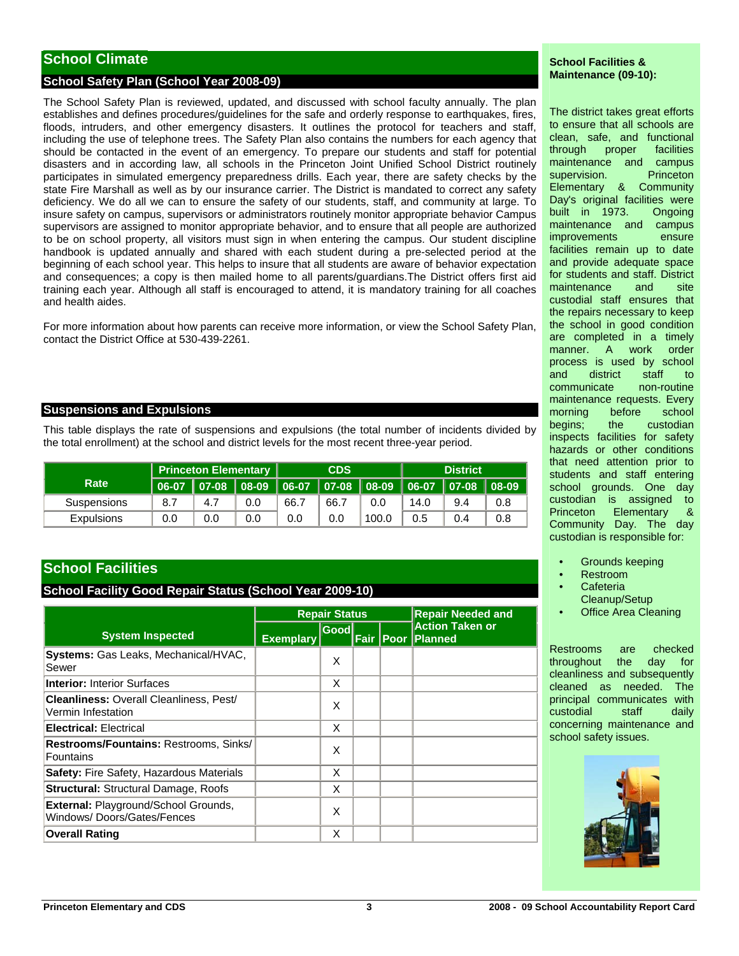# **School Climate**

# **School Safety Plan (School Year 2008-09)**

The School Safety Plan is reviewed, updated, and discussed with school faculty annually. The plan establishes and defines procedures/guidelines for the safe and orderly response to earthquakes, fires, floods, intruders, and other emergency disasters. It outlines the protocol for teachers and staff, including the use of telephone trees. The Safety Plan also contains the numbers for each agency that should be contacted in the event of an emergency. To prepare our students and staff for potential disasters and in according law, all schools in the Princeton Joint Unified School District routinely participates in simulated emergency preparedness drills. Each year, there are safety checks by the state Fire Marshall as well as by our insurance carrier. The District is mandated to correct any safety deficiency. We do all we can to ensure the safety of our students, staff, and community at large. To insure safety on campus, supervisors or administrators routinely monitor appropriate behavior Campus supervisors are assigned to monitor appropriate behavior, and to ensure that all people are authorized to be on school property, all visitors must sign in when entering the campus. Our student discipline handbook is updated annually and shared with each student during a pre-selected period at the beginning of each school year. This helps to insure that all students are aware of behavior expectation and consequences; a copy is then mailed home to all parents/guardians.The District offers first aid training each year. Although all staff is encouraged to attend, it is mandatory training for all coaches and health aides.

For more information about how parents can receive more information, or view the School Safety Plan, contact the District Office at 530-439-2261.

### **Suspensions and Expulsions**

This table displays the rate of suspensions and expulsions (the total number of incidents divided by the total enrollment) at the school and district levels for the most recent three-year period.

|                   | <b>Princeton Elementary</b> |     | <b>CDS</b> |      |      | <b>District</b> |      |     |     |
|-------------------|-----------------------------|-----|------------|------|------|-----------------|------|-----|-----|
| Rate              | 06-07                       |     |            |      |      |                 |      |     |     |
| Suspensions       | 8.7                         | 4.7 | 0.0        | 66.7 | 66.7 | 0.0             | 14.0 | 9.4 | 0.8 |
| <b>Expulsions</b> | 0.0                         | 0.0 | 0.0        | 0.0  | 0.0  | 100.0           | 0.5  | 0.4 | 0.8 |

# **School Facilities**

# **School Facility Good Repair Status (School Year 2009-10)**

|                                                                           |                  | <b>Repair Status</b> |           | <b>Repair Needed and</b>                  |
|---------------------------------------------------------------------------|------------------|----------------------|-----------|-------------------------------------------|
| <b>System Inspected</b>                                                   | <b>Exemplary</b> | Good                 | Fair Poor | <b>Action Taken or</b><br><b>IPlanned</b> |
| Systems: Gas Leaks, Mechanical/HVAC,<br>Sewer                             |                  | X                    |           |                                           |
| <b>Interior: Interior Surfaces</b>                                        |                  | X                    |           |                                           |
| <b>Cleanliness: Overall Cleanliness, Pest/</b><br>Vermin Infestation      |                  | X                    |           |                                           |
| <b>Electrical: Electrical</b>                                             |                  | X                    |           |                                           |
| Restrooms/Fountains: Restrooms, Sinks/<br>Fountains                       |                  | X                    |           |                                           |
| <b>Safety: Fire Safety, Hazardous Materials</b>                           |                  | X                    |           |                                           |
| <b>Structural: Structural Damage, Roofs</b>                               |                  | X                    |           |                                           |
| <b>External: Playground/School Grounds,</b><br>Windows/Doors/Gates/Fences |                  | X                    |           |                                           |
| <b>Overall Rating</b>                                                     |                  | X                    |           |                                           |

### **School Facilities & Maintenance (09-10):**

The district takes great efforts to ensure that all schools are clean, safe, and functional through proper facilities maintenance and campus supervision. Princeton Elementary & Community Day's original facilities were built in 1973. Ongoing maintenance and campus improvements ensure facilities remain up to date and provide adequate space for students and staff. District maintenance and site custodial staff ensures that the repairs necessary to keep the school in good condition are completed in a timely manner. A work order process is used by school and district staff to communicate non-routine maintenance requests. Every morning before school begins; the custodian inspects facilities for safety hazards or other conditions that need attention prior to students and staff entering school grounds. One day custodian is assigned to Princeton Elementary & Community Day. The day custodian is responsible for:

- Grounds keeping
- Restroom
- **Cafeteria**
- Cleanup/Setup
- **Office Area Cleaning**

Restrooms are checked throughout the day for cleanliness and subsequently cleaned as needed. The principal communicates with custodial staff daily concerning maintenance and school safety issues.

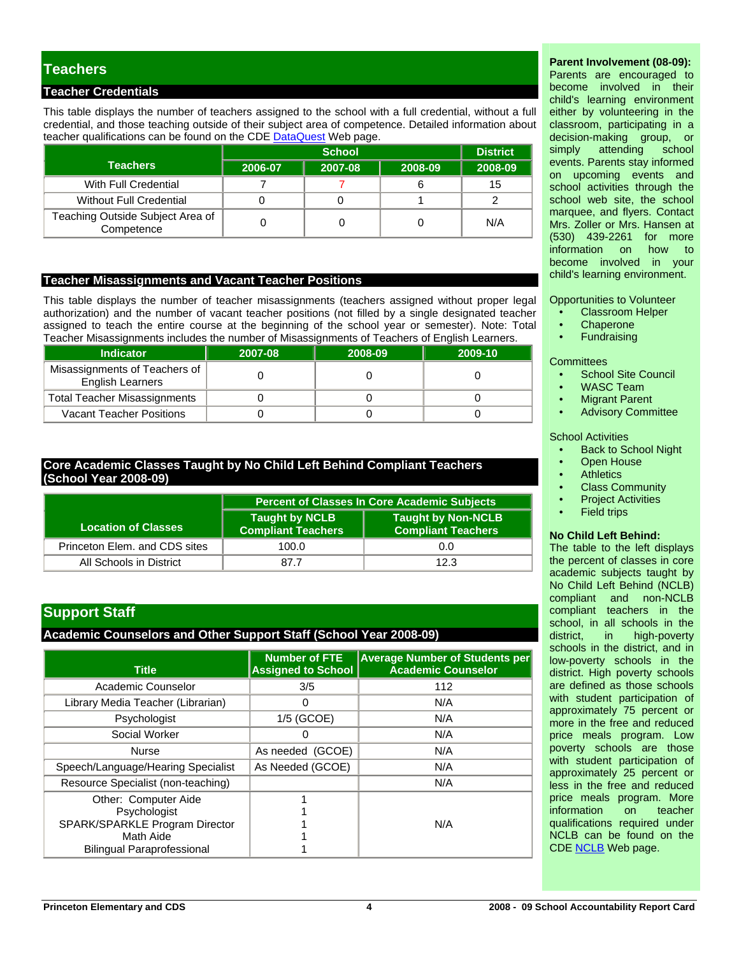# **Teachers**

# **Teacher Credentials**

This table displays the number of teachers assigned to the school with a full credential, without a full credential, and those teaching outside of their subject area of competence. Detailed information about teacher qualifications can be found on the CDE [DataQuest](http://dq.cde.ca.gov/dataquest/) Web page.

|                                                |         | <b>District</b> |         |         |
|------------------------------------------------|---------|-----------------|---------|---------|
| <b>Teachers</b>                                | 2006-07 | 2007-08         | 2008-09 | 2008-09 |
| With Full Credential                           |         |                 |         | 15      |
| Without Full Credential                        |         |                 |         |         |
| Teaching Outside Subject Area of<br>Competence |         |                 |         | N/A     |

### **Teacher Misassignments and Vacant Teacher Positions**

This table displays the number of teacher misassignments (teachers assigned without proper legal authorization) and the number of vacant teacher positions (not filled by a single designated teacher assigned to teach the entire course at the beginning of the school year or semester). Note: Total Teacher Misassignments includes the number of Misassignments of Teachers of English Learners.

| I capitor microcolginitionito included the humbor of microcolginitionito or i capitole or English Ecampio. |         |         |         |  |  |  |  |
|------------------------------------------------------------------------------------------------------------|---------|---------|---------|--|--|--|--|
| <b>Indicator</b>                                                                                           | 2007-08 | 2008-09 | 2009-10 |  |  |  |  |
| Misassignments of Teachers of<br><b>English Learners</b>                                                   |         |         |         |  |  |  |  |
| <b>Total Teacher Misassignments</b>                                                                        |         |         |         |  |  |  |  |
| <b>Vacant Teacher Positions</b>                                                                            |         |         |         |  |  |  |  |

# **Core Academic Classes Taught by No Child Left Behind Compliant Teachers (School Year 2008-09)**

|                               | <b>Percent of Classes In Core Academic Subjects</b> |                                                        |  |  |  |  |
|-------------------------------|-----------------------------------------------------|--------------------------------------------------------|--|--|--|--|
| <b>Location of Classes</b>    | <b>Taught by NCLB</b><br><b>Compliant Teachers</b>  | <b>Taught by Non-NCLB</b><br><b>Compliant Teachers</b> |  |  |  |  |
| Princeton Elem. and CDS sites | 100.0                                               | 0.0                                                    |  |  |  |  |
| All Schools in District       | 87.7                                                | 12.3                                                   |  |  |  |  |

# **Support Staff**

### **Academic Counselors and Other Support Staff (School Year 2008-09)**

| <b>Title</b>                       | <b>Number of FTE</b><br><b>Assigned to School</b> | <b>Average Number of Students per</b><br><b>Academic Counselor</b> |
|------------------------------------|---------------------------------------------------|--------------------------------------------------------------------|
| Academic Counselor                 | 3/5                                               | 112                                                                |
| Library Media Teacher (Librarian)  | 0                                                 | N/A                                                                |
| Psychologist                       | 1/5 (GCOE)                                        | N/A                                                                |
| Social Worker                      | 0                                                 | N/A                                                                |
| <b>Nurse</b>                       | As needed (GCOE)                                  | N/A                                                                |
| Speech/Language/Hearing Specialist | As Needed (GCOE)                                  | N/A                                                                |
| Resource Specialist (non-teaching) |                                                   | N/A                                                                |
| Other: Computer Aide               |                                                   |                                                                    |
| Psychologist                       |                                                   |                                                                    |
| SPARK/SPARKLE Program Director     |                                                   | N/A                                                                |
| Math Aide                          |                                                   |                                                                    |
| <b>Bilingual Paraprofessional</b>  |                                                   |                                                                    |

# **Parent Involvement (08-09):**

Parents are encouraged to become involved in their child's learning environment either by volunteering in the classroom, participating in a decision-making group, or simply attending school events. Parents stay informed on upcoming events and school activities through the school web site, the school marquee, and flyers. Contact Mrs. Zoller or Mrs. Hansen at (530) 439-2261 for more information on become involved in your child's learning environment.

Opportunities to Volunteer

- Classroom Helper
- **Chaperone**
- **Fundraising**

**Committees** 

- School Site Council
- WASC Team
- **Migrant Parent**
- Advisory Committee

#### School Activities

- Back to School Night
- **Open House**
- **Athletics**
- Class Community
- **Project Activities**
- **Field trips**

#### **No Child Left Behind:**

The table to the left displays the percent of classes in core academic subjects taught by No Child Left Behind (NCLB) compliant and non-NCLB compliant teachers in the school, in all schools in the district, in high-poverty schools in the district, and in low-poverty schools in the district. High poverty schools are defined as those schools with student participation of approximately 75 percent or more in the free and reduced price meals program. Low poverty schools are those with student participation of approximately 25 percent or less in the free and reduced price meals program. More information on teacher qualifications required under NCLB can be found on the CDE [NCLB](http://www.cde.ca.gov/nclb/sr/tq/) Web page.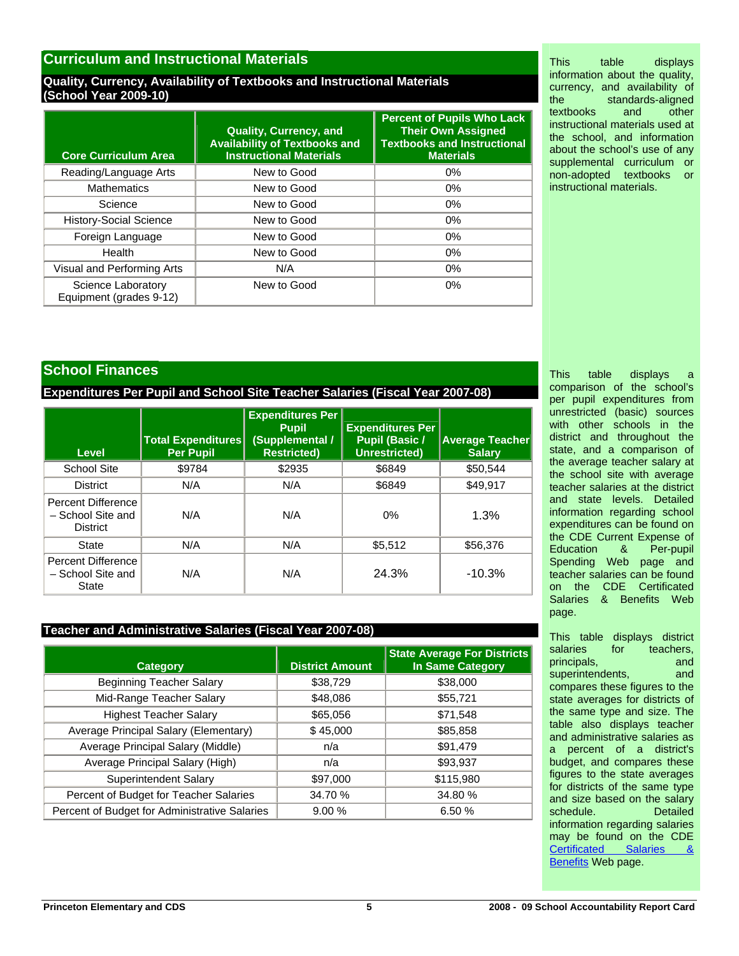# **Curriculum and Instructional Materials**

# **Quality, Currency, Availability of Textbooks and Instructional Materials (School Year 2009-10)**

| <b>Core Curriculum Area</b>                   | <b>Quality, Currency, and</b><br><b>Availability of Textbooks and</b><br><b>Instructional Materials</b> | <b>Percent of Pupils Who Lack</b><br><b>Their Own Assigned</b><br><b>Textbooks and Instructional</b><br><b>Materials</b> |
|-----------------------------------------------|---------------------------------------------------------------------------------------------------------|--------------------------------------------------------------------------------------------------------------------------|
| Reading/Language Arts                         | New to Good                                                                                             | $0\%$                                                                                                                    |
| <b>Mathematics</b>                            | New to Good                                                                                             | 0%                                                                                                                       |
| Science                                       | New to Good                                                                                             | $0\%$                                                                                                                    |
| <b>History-Social Science</b>                 | New to Good                                                                                             | 0%                                                                                                                       |
| Foreign Language                              | New to Good                                                                                             | $0\%$                                                                                                                    |
| Health                                        | New to Good                                                                                             | 0%                                                                                                                       |
| Visual and Performing Arts                    | N/A                                                                                                     | 0%                                                                                                                       |
| Science Laboratory<br>Equipment (grades 9-12) | New to Good                                                                                             | $0\%$                                                                                                                    |

This table displays information about the quality, currency, and availability of the standards-aligned<br>textbooks and other textbooks and other instructional materials used at the school, and information about the school's use of any supplemental curriculum or non-adopted textbooks or instructional materials.

# **School Finances**

**Expenditures Per Pupil and School Site Teacher Salaries (Fiscal Year 2007-08)** 

| Level                                                      | <b>Total Expenditures</b><br><b>Per Pupil</b> | <b>Expenditures Per</b><br><b>Pupil</b><br>(Supplemental /<br><b>Restricted)</b> | <b>Expenditures Per</b><br><b>Pupil (Basic /</b><br>Unrestricted) | <b>Average Teacher</b><br><b>Salary</b> |
|------------------------------------------------------------|-----------------------------------------------|----------------------------------------------------------------------------------|-------------------------------------------------------------------|-----------------------------------------|
| <b>School Site</b>                                         | \$9784                                        | \$2935                                                                           | \$6849                                                            | \$50.544                                |
| <b>District</b>                                            | N/A                                           | N/A                                                                              | \$6849                                                            | \$49,917                                |
| Percent Difference<br>- School Site and<br><b>District</b> | N/A                                           | N/A                                                                              | 0%                                                                | 1.3%                                    |
| State                                                      | N/A                                           | N/A                                                                              | \$5,512                                                           | \$56,376                                |
| Percent Difference<br>- School Site and<br>State           | N/A                                           | N/A                                                                              | 24.3%                                                             | $-10.3%$                                |

# **Teacher and Administrative Salaries (Fiscal Year 2007-08)**

| <b>Category</b>                               | <b>District Amount</b> | <b>State Average For Districts</b><br><b>In Same Category</b> |
|-----------------------------------------------|------------------------|---------------------------------------------------------------|
| <b>Beginning Teacher Salary</b>               | \$38,729               | \$38,000                                                      |
| Mid-Range Teacher Salary                      | \$48,086               | \$55,721                                                      |
| <b>Highest Teacher Salary</b>                 | \$65,056               | \$71,548                                                      |
| Average Principal Salary (Elementary)         | \$45,000               | \$85,858                                                      |
| Average Principal Salary (Middle)             | n/a                    | \$91,479                                                      |
| Average Principal Salary (High)               | n/a                    | \$93,937                                                      |
| <b>Superintendent Salary</b>                  | \$97,000               | \$115,980                                                     |
| Percent of Budget for Teacher Salaries        | 34.70 %                | 34.80 %                                                       |
| Percent of Budget for Administrative Salaries | 9.00%                  | 6.50 %                                                        |

This table displays a comparison of the school's per pupil expenditures from unrestricted (basic) sources with other schools in the district and throughout the state, and a comparison of the average teacher salary at the school site with average teacher salaries at the district and state levels. Detailed information regarding school expenditures can be found on the CDE Current Expense of Education & Per-pupil Spending Web page and teacher salaries can be found on the CDE Certificated Salaries & Benefits Web page.

This table displays district salaries for teachers, principals, and and superintendents, and compares these figures to the state averages for districts of the same type and size. The table also displays teacher and administrative salaries as a percent of a district's budget, and compares these figures to the state averages for districts of the same type and size based on the salary schedule. Detailed information regarding salaries may be found on the CDE [Certificated Salaries &](http://www.cde.ca.gov/ds/fd/cs/)  [Benefits](http://www.cde.ca.gov/ds/fd/cs/) Web page.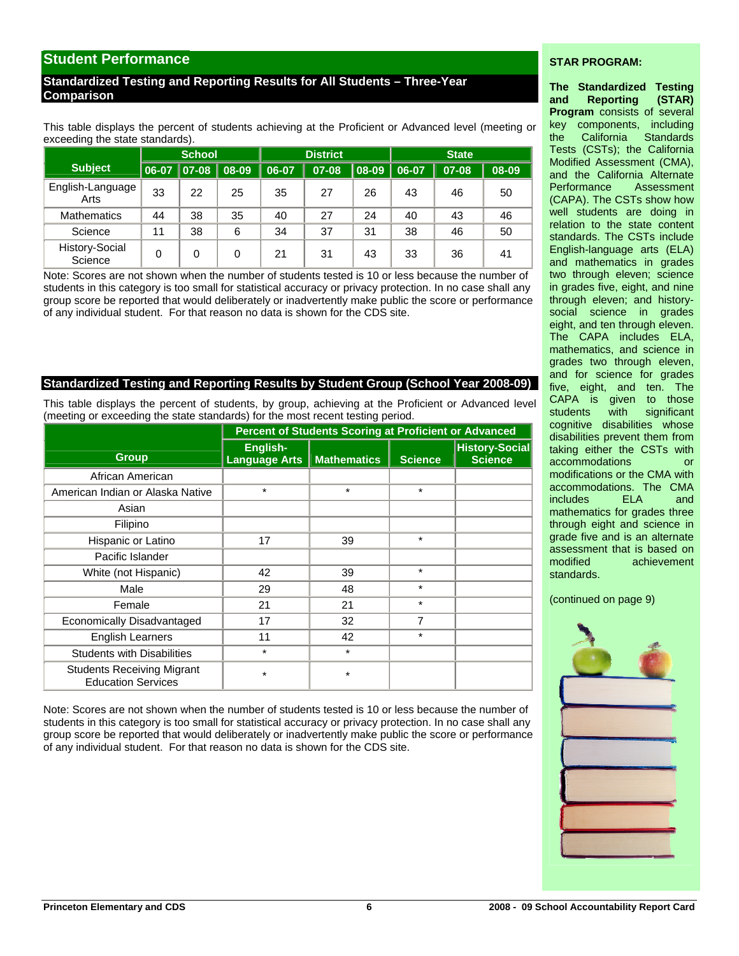# **Student Performance**

# **Standardized Testing and Reporting Results for All Students – Three-Year Comparison**

This table displays the percent of students achieving at the Proficient or Advanced level (meeting or exceeding the state standards).

|                           |       | <b>District</b><br><b>School</b><br><b>State</b> |    |       |       |          |       |       |       |
|---------------------------|-------|--------------------------------------------------|----|-------|-------|----------|-------|-------|-------|
| <b>Subject</b>            | 06-07 | $ 07-08 08-09$                                   |    | 06-07 | 07-08 | $ 08-09$ | 06-07 | 07-08 | 08-09 |
| English-Language<br>Arts  | 33    | 22                                               | 25 | 35    | 27    | 26       | 43    | 46    | 50    |
| <b>Mathematics</b>        | 44    | 38                                               | 35 | 40    | 27    | 24       | 40    | 43    | 46    |
| Science                   | 11    | 38                                               | 6  | 34    | 37    | 31       | 38    | 46    | 50    |
| History-Social<br>Science | 0     | 0                                                | 0  | 21    | 31    | 43       | 33    | 36    | 41    |

Note: Scores are not shown when the number of students tested is 10 or less because the number of students in this category is too small for statistical accuracy or privacy protection. In no case shall any group score be reported that would deliberately or inadvertently make public the score or performance of any individual student. For that reason no data is shown for the CDS site.

# **Standardized Testing and Reporting Results by Student Group (School Year 2008-09)**

This table displays the percent of students, by group, achieving at the Proficient or Advanced level (meeting or exceeding the state standards) for the most recent testing period.

|                                                                | <b>Percent of Students Scoring at Proficient or Advanced</b> |                    |                |                                         |  |  |
|----------------------------------------------------------------|--------------------------------------------------------------|--------------------|----------------|-----------------------------------------|--|--|
| <b>Group</b>                                                   | English-<br><b>Language Arts</b>                             | <b>Mathematics</b> | <b>Science</b> | <b>History-Social</b><br><b>Science</b> |  |  |
| African American                                               |                                                              |                    |                |                                         |  |  |
| American Indian or Alaska Native                               | $\star$                                                      | $\star$            | $\star$        |                                         |  |  |
| Asian                                                          |                                                              |                    |                |                                         |  |  |
| Filipino                                                       |                                                              |                    |                |                                         |  |  |
| Hispanic or Latino                                             | 17                                                           | 39                 | $\star$        |                                         |  |  |
| Pacific Islander                                               |                                                              |                    |                |                                         |  |  |
| White (not Hispanic)                                           | 42                                                           | 39                 | $\star$        |                                         |  |  |
| Male                                                           | 29                                                           | 48                 | $\star$        |                                         |  |  |
| Female                                                         | 21                                                           | 21                 | $\star$        |                                         |  |  |
| Economically Disadvantaged                                     | 17                                                           | 32                 | 7              |                                         |  |  |
| <b>English Learners</b>                                        | 11                                                           | 42                 | $\star$        |                                         |  |  |
| <b>Students with Disabilities</b>                              | $\star$                                                      | $\star$            |                |                                         |  |  |
| <b>Students Receiving Migrant</b><br><b>Education Services</b> | $\star$                                                      | $^\star$           |                |                                         |  |  |

Note: Scores are not shown when the number of students tested is 10 or less because the number of students in this category is too small for statistical accuracy or privacy protection. In no case shall any group score be reported that would deliberately or inadvertently make public the score or performance of any individual student. For that reason no data is shown for the CDS site.

### **STAR PROGRAM:**

**The Standardized Testing and Reporting (STAR) Program** consists of several key components, including the California Standards Tests (CSTs); the California Modified Assessment (CMA), and the California Alternate Performance Assessment (CAPA). The CSTs show how well students are doing in relation to the state content standards. The CSTs include English-language arts (ELA) and mathematics in grades two through eleven; science in grades five, eight, and nine through eleven; and historysocial science in grades eight, and ten through eleven. The CAPA includes ELA, mathematics, and science in grades two through eleven, and for science for grades five, eight, and ten. The CAPA is given to those students with significant cognitive disabilities whose disabilities prevent them from taking either the CSTs with accommodations or modifications or the CMA with accommodations. The CMA includes ELA and mathematics for grades three through eight and science in grade five and is an alternate assessment that is based on modified achievement standards.

(continued on page 9)

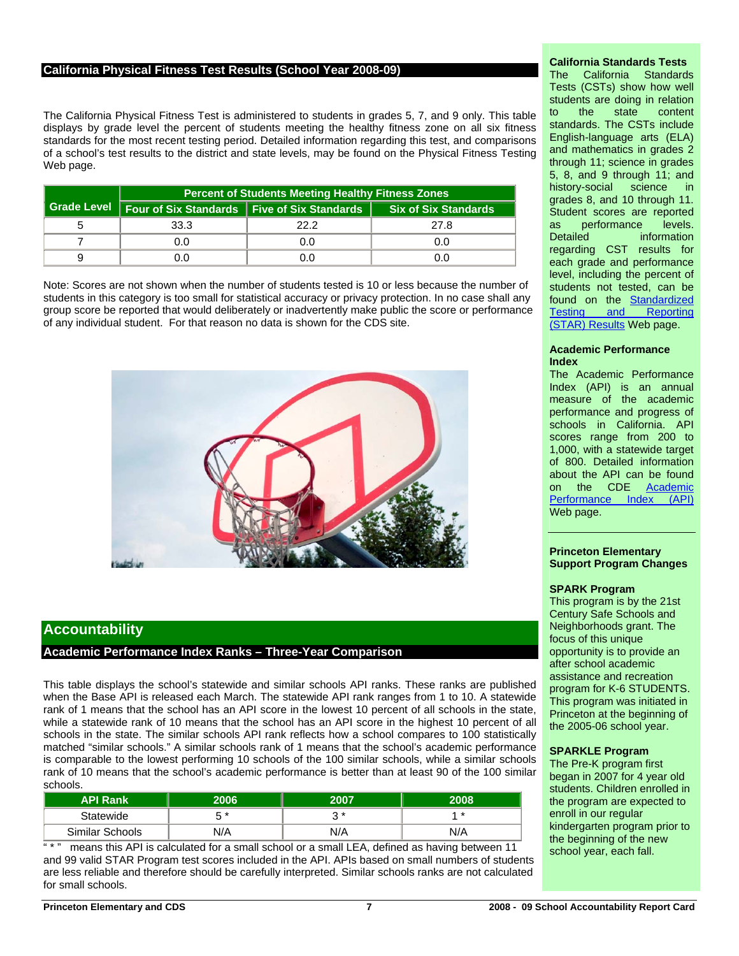### **California Physical Fitness Test Results (School Year 2008-09)**

The California Physical Fitness Test is administered to students in grades 5, 7, and 9 only. This table displays by grade level the percent of students meeting the healthy fitness zone on all six fitness standards for the most recent testing period. Detailed information regarding this test, and comparisons of a school's test results to the district and state levels, may be found on the Physical Fitness Testing Web page.

| <b>Percent of Students Meeting Healthy Fitness Zones</b>    |      |                             |  |  |  |  |
|-------------------------------------------------------------|------|-----------------------------|--|--|--|--|
| Grade Level   Four of Six Standards   Five of Six Standards |      | <b>Six of Six Standards</b> |  |  |  |  |
| 33.3                                                        | 22 2 | 27.8                        |  |  |  |  |
| 0.0                                                         | 0.O  | 0.0                         |  |  |  |  |
| ).O                                                         |      | 0.0                         |  |  |  |  |

Note: Scores are not shown when the number of students tested is 10 or less because the number of students in this category is too small for statistical accuracy or privacy protection. In no case shall any group score be reported that would deliberately or inadvertently make public the score or performance of any individual student. For that reason no data is shown for the CDS site.



# **Accountability**

# **Academic Performance Index Ranks – Three-Year Comparison**

This table displays the school's statewide and similar schools API ranks. These ranks are published when the Base API is released each March. The statewide API rank ranges from 1 to 10. A statewide rank of 1 means that the school has an API score in the lowest 10 percent of all schools in the state, while a statewide rank of 10 means that the school has an API score in the highest 10 percent of all schools in the state. The similar schools API rank reflects how a school compares to 100 statistically matched "similar schools." A similar schools rank of 1 means that the school's academic performance is comparable to the lowest performing 10 schools of the 100 similar schools, while a similar schools rank of 10 means that the school's academic performance is better than at least 90 of the 100 similar schools.

| <b>API Rank</b> | າດຣ | 2007 | 2008 |
|-----------------|-----|------|------|
| Statewide       | - * | ົາ * | 4 *  |
| Similar Schools | N/A | N/A  | N/A  |

means this API is calculated for a small school or a small LEA, defined as having between 11 and 99 valid STAR Program test scores included in the API. APIs based on small numbers of students are less reliable and therefore should be carefully interpreted. Similar schools ranks are not calculated for small schools.

# **California Standards Tests**

The California Standards Tests (CSTs) show how well students are doing in relation to the state content standards. The CSTs include English-language arts (ELA) and mathematics in grades 2 through 11; science in grades 5, 8, and 9 through 11; and history-social science in grades 8, and 10 through 11. Student scores are reported as performance levels. Detailed **information** regarding CST results for each grade and performance level, including the percent of students not tested, can be found on the [Standardized](http://star.cde.ca.gov/)  [Testing and Reporting](http://star.cde.ca.gov/)  [\(STAR\) Results](http://star.cde.ca.gov/) Web page.

#### **Academic Performance Index**

The Academic Performance Index (API) is an annual measure of the academic performance and progress of schools in California. API scores range from 200 to 1,000, with a statewide target of 800. Detailed information about the API can be found on the CDE [Academic](http://www.cde.ca.gov/ta/ac/ap/)  [Performance Index \(API\)](http://www.cde.ca.gov/ta/ac/ap/) Web page.

#### **Princeton Elementary Support Program Changes**

#### **SPARK Program**

This program is by the 21st Century Safe Schools and Neighborhoods grant. The focus of this unique opportunity is to provide an after school academic assistance and recreation program for K-6 STUDENTS. This program was initiated in Princeton at the beginning of the 2005-06 school year.

#### **SPARKLE Program**

The Pre-K program first began in 2007 for 4 year old students. Children enrolled in the program are expected to enroll in our regular kindergarten program prior to the beginning of the new school year, each fall.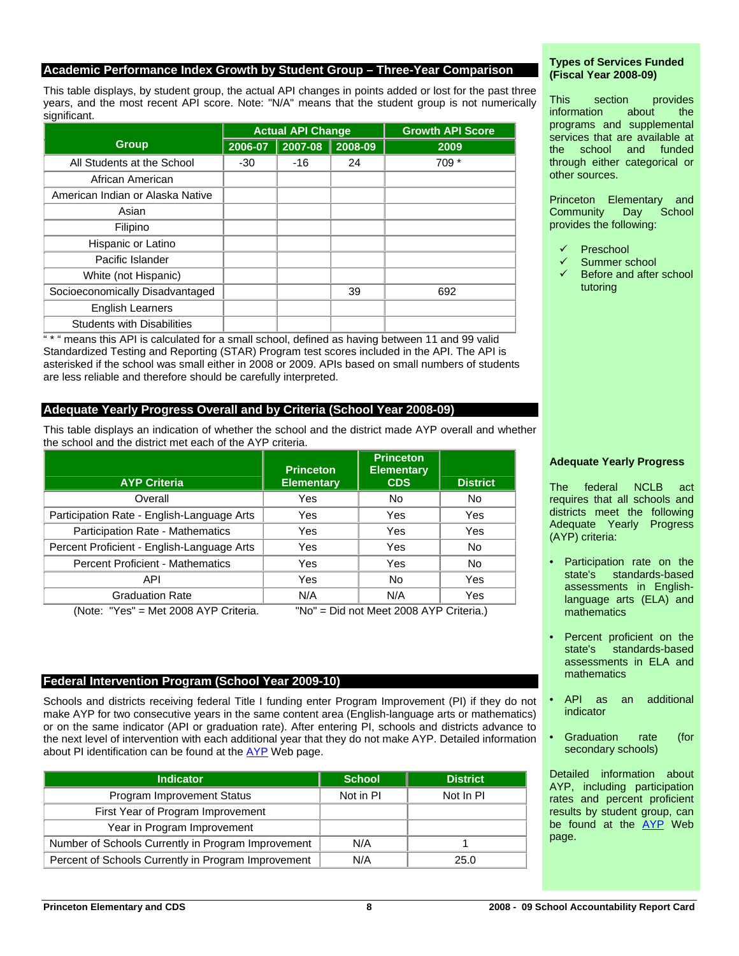### **Academic Performance Index Growth by Student Group – Three-Year Comparison**

This table displays, by student group, the actual API changes in points added or lost for the past three years, and the most recent API score. Note: "N/A" means that the student group is not numerically significant.

|                                   | <b>Actual API Change</b> |         |         | <b>Growth API Score</b> |
|-----------------------------------|--------------------------|---------|---------|-------------------------|
| <b>Group</b>                      | 2006-07                  | 2007-08 | 2008-09 | 2009                    |
| All Students at the School        | $-30$                    | $-16$   | 24      | 709 *                   |
| African American                  |                          |         |         |                         |
| American Indian or Alaska Native  |                          |         |         |                         |
| Asian                             |                          |         |         |                         |
| Filipino                          |                          |         |         |                         |
| Hispanic or Latino                |                          |         |         |                         |
| Pacific Islander                  |                          |         |         |                         |
| White (not Hispanic)              |                          |         |         |                         |
| Socioeconomically Disadvantaged   |                          |         | 39      | 692                     |
| <b>English Learners</b>           |                          |         |         |                         |
| <b>Students with Disabilities</b> |                          |         |         |                         |

" \* " means this API is calculated for a small school, defined as having between 11 and 99 valid Standardized Testing and Reporting (STAR) Program test scores included in the API. The API is asterisked if the school was small either in 2008 or 2009. APIs based on small numbers of students are less reliable and therefore should be carefully interpreted.

### **Adequate Yearly Progress Overall and by Criteria (School Year 2008-09)**

This table displays an indication of whether the school and the district made AYP overall and whether the school and the district met each of the AYP criteria.

|                                            | <b>Princeton</b>  | <b>Princeton</b><br><b>Elementary</b> |                 |
|--------------------------------------------|-------------------|---------------------------------------|-----------------|
| <b>AYP Criteria</b>                        | <b>Elementary</b> | <b>CDS</b>                            | <b>District</b> |
| Overall                                    | Yes               | <b>No</b>                             | No              |
| Participation Rate - English-Language Arts | Yes               | Yes                                   | Yes             |
| Participation Rate - Mathematics           | Yes               | Yes                                   | Yes             |
| Percent Proficient - English-Language Arts | Yes               | Yes                                   | No              |
| <b>Percent Proficient - Mathematics</b>    | Yes               | Yes                                   | No              |
| API                                        | Yes               | No                                    | Yes             |
| <b>Graduation Rate</b>                     | N/A               | N/A                                   | Yes             |

(Note: "Yes" = Met 2008 AYP Criteria. "No" = Did not Meet 2008 AYP Criteria.)

# **Federal Intervention Program (School Year 2009-10)**

Schools and districts receiving federal Title I funding enter Program Improvement (PI) if they do not make AYP for two consecutive years in the same content area (English-language arts or mathematics) or on the same indicator (API or graduation rate). After entering PI, schools and districts advance to the next level of intervention with each additional year that they do not make AYP. Detailed information about PI identification can be found at the  $\frac{AYP}{AYP}$  Web page.

| <b>Indicator</b>                                    | <b>School</b> | <b>District</b> |
|-----------------------------------------------------|---------------|-----------------|
| Program Improvement Status                          | Not in PI     | Not In PI       |
| First Year of Program Improvement                   |               |                 |
| Year in Program Improvement                         |               |                 |
| Number of Schools Currently in Program Improvement  | N/A           |                 |
| Percent of Schools Currently in Program Improvement | N/A           | 25.0            |

### **Types of Services Funded (Fiscal Year 2008-09)**

This section provides information about the programs and supplemental services that are available at the school and funded through either categorical or other sources.

Princeton Elementary and Community Day School provides the following:

- **Preschool**
- Summer school
- Before and after school tutoring

#### **Adequate Yearly Progress**

The federal NCLB act requires that all schools and districts meet the following Adequate Yearly Progress (AYP) criteria:

- Participation rate on the state's standards-based assessments in Englishlanguage arts (ELA) and mathematics
- Percent proficient on the state's standards-based assessments in ELA and mathematics
- API as an additional indicator
- Graduation rate (for secondary schools)

Detailed information about AYP, including participation rates and percent proficient results by student group, can be found at the [AYP](http://www.cde.ca.gov/ta/ac/ay/) Web page.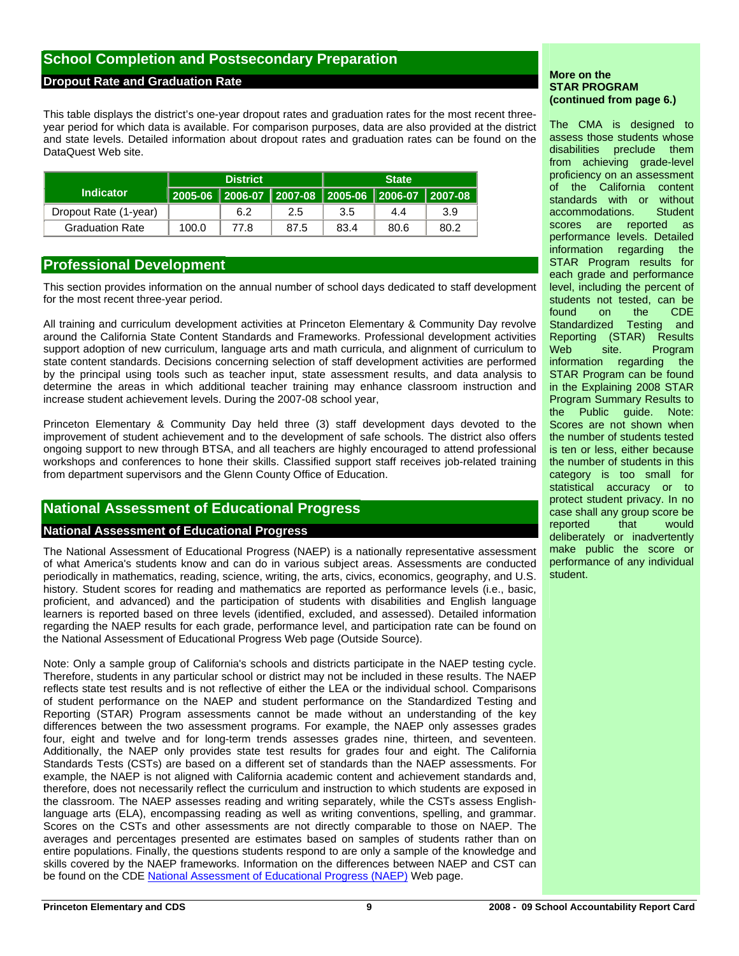# **School Completion and Postsecondary Preparation**

### **Dropout Rate and Graduation Rate**

This table displays the district's one-year dropout rates and graduation rates for the most recent threeyear period for which data is available. For comparison purposes, data are also provided at the district and state levels. Detailed information about dropout rates and graduation rates can be found on the DataQuest Web site.

|                        | <b>District</b> |                                                       |      | <b>State</b> |      |      |
|------------------------|-----------------|-------------------------------------------------------|------|--------------|------|------|
| <b>Indicator</b>       |                 | │2005-06 │2006-07 │2007-08 │2005-06 │2006-07 │2007-08 |      |              |      |      |
| Dropout Rate (1-year)  |                 | 6.2                                                   | 2.5  | 3.5          | 4.4  | 3.9  |
| <b>Graduation Rate</b> | 100.0           | 77.8                                                  | 87.5 | 83.4         | 80.6 | 80.2 |

# **Professional Development**

This section provides information on the annual number of school days dedicated to staff development for the most recent three-year period.

All training and curriculum development activities at Princeton Elementary & Community Day revolve around the California State Content Standards and Frameworks. Professional development activities support adoption of new curriculum, language arts and math curricula, and alignment of curriculum to state content standards. Decisions concerning selection of staff development activities are performed by the principal using tools such as teacher input, state assessment results, and data analysis to determine the areas in which additional teacher training may enhance classroom instruction and increase student achievement levels. During the 2007-08 school year,

Princeton Elementary & Community Day held three (3) staff development days devoted to the improvement of student achievement and to the development of safe schools. The district also offers ongoing support to new through BTSA, and all teachers are highly encouraged to attend professional workshops and conferences to hone their skills. Classified support staff receives job-related training from department supervisors and the Glenn County Office of Education.

# **National Assessment of Educational Progress**

# **National Assessment of Educational Progress**

The National Assessment of Educational Progress (NAEP) is a nationally representative assessment of what America's students know and can do in various subject areas. Assessments are conducted periodically in mathematics, reading, science, writing, the arts, civics, economics, geography, and U.S. history. Student scores for reading and mathematics are reported as performance levels (i.e., basic, proficient, and advanced) and the participation of students with disabilities and English language learners is reported based on three levels (identified, excluded, and assessed). Detailed information regarding the NAEP results for each grade, performance level, and participation rate can be found on the National Assessment of Educational Progress Web page (Outside Source).

Note: Only a sample group of California's schools and districts participate in the NAEP testing cycle. Therefore, students in any particular school or district may not be included in these results. The NAEP reflects state test results and is not reflective of either the LEA or the individual school. Comparisons of student performance on the NAEP and student performance on the Standardized Testing and Reporting (STAR) Program assessments cannot be made without an understanding of the key differences between the two assessment programs. For example, the NAEP only assesses grades four, eight and twelve and for long-term trends assesses grades nine, thirteen, and seventeen. Additionally, the NAEP only provides state test results for grades four and eight. The California Standards Tests (CSTs) are based on a different set of standards than the NAEP assessments. For example, the NAEP is not aligned with California academic content and achievement standards and, therefore, does not necessarily reflect the curriculum and instruction to which students are exposed in the classroom. The NAEP assesses reading and writing separately, while the CSTs assess Englishlanguage arts (ELA), encompassing reading as well as writing conventions, spelling, and grammar. Scores on the CSTs and other assessments are not directly comparable to those on NAEP. The averages and percentages presented are estimates based on samples of students rather than on entire populations. Finally, the questions students respond to are only a sample of the knowledge and skills covered by the NAEP frameworks. Information on the differences between NAEP and CST can be found on the CDE [National Assessment of Educational Progress \(NAEP\)](http://www.cde.ca.gov/ta/tg/nr/) Web page.

#### **More on the STAR PROGRAM (continued from page 6.)**

The CMA is designed to assess those students whose disabilities preclude them from achieving grade-level proficiency on an assessment of the California content standards with or without accommodations. Student<br>scores are reported as scores are reported as performance levels. Detailed information regarding the STAR Program results for each grade and performance level, including the percent of students not tested, can be found on the CDE Standardized Testing and Reporting (STAR) Results Web site. Program information regarding the STAR Program can be found in the Explaining 2008 STAR Program Summary Results to the Public guide. Note: Scores are not shown when the number of students tested is ten or less, either because the number of students in this category is too small for statistical accuracy or to protect student privacy. In no case shall any group score be reported that would deliberately or inadvertently make public the score or performance of any individual student.